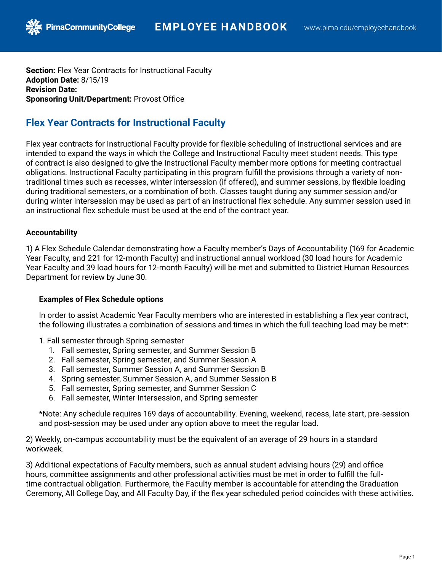**Section:** Flex Year Contracts for Instructional Faculty **Adoption Date:** 8/15/19 **Revision Date: Sponsoring Unit/Department:** Provost Office

# **Flex Year Contracts for Instructional Faculty**

Flex year contracts for Instructional Faculty provide for flexible scheduling of instructional services and are intended to expand the ways in which the College and Instructional Faculty meet student needs. This type of contract is also designed to give the Instructional Faculty member more options for meeting contractual obligations. Instructional Faculty participating in this program fulfill the provisions through a variety of nontraditional times such as recesses, winter intersession (if offered), and summer sessions, by flexible loading during traditional semesters, or a combination of both. Classes taught during any summer session and/or during winter intersession may be used as part of an instructional flex schedule. Any summer session used in an instructional flex schedule must be used at the end of the contract year.

## **Accountability**

1) A Flex Schedule Calendar demonstrating how a Faculty member's Days of Accountability (169 for Academic Year Faculty, and 221 for 12-month Faculty) and instructional annual workload (30 load hours for Academic Year Faculty and 39 load hours for 12-month Faculty) will be met and submitted to District Human Resources Department for review by June 30.

### **Examples of Flex Schedule options**

In order to assist Academic Year Faculty members who are interested in establishing a flex year contract, the following illustrates a combination of sessions and times in which the full teaching load may be met\*:

1. Fall semester through Spring semester

- 1. Fall semester, Spring semester, and Summer Session B
- 2. Fall semester, Spring semester, and Summer Session A
- 3. Fall semester, Summer Session A, and Summer Session B
- 4. Spring semester, Summer Session A, and Summer Session B
- 5. Fall semester, Spring semester, and Summer Session C
- 6. Fall semester, Winter Intersession, and Spring semester

\*Note: Any schedule requires 169 days of accountability. Evening, weekend, recess, late start, pre-session and post-session may be used under any option above to meet the regular load.

2) Weekly, on-campus accountability must be the equivalent of an average of 29 hours in a standard workweek.

3) Additional expectations of Faculty members, such as annual student advising hours (29) and office hours, committee assignments and other professional activities must be met in order to fulfill the fulltime contractual obligation. Furthermore, the Faculty member is accountable for attending the Graduation Ceremony, All College Day, and All Faculty Day, if the flex year scheduled period coincides with these activities.